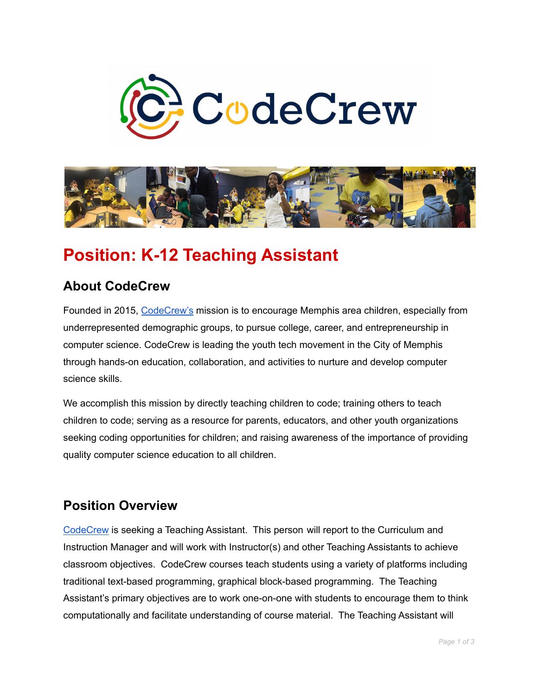



# **Position: K-12 Teaching Assistant**

## **About CodeCrew**

Founded in 2015, [CodeCrew's](https://www.code-crew.org/) mission is to encourage Memphis area children, especially from underrepresented demographic groups, to pursue college, career, and entrepreneurship in computer science. CodeCrew is leading the youth tech movement in the City of Memphis through hands-on education, collaboration, and activities to nurture and develop computer science skills.

We accomplish this mission by directly teaching children to code; training others to teach children to code; serving as a resource for parents, educators, and other youth organizations seeking coding opportunities for children; and raising awareness of the importance of providing quality computer science education to all children.

#### **Position Overview**

[CodeCrew](https://www.code-crew.org/) is seeking a Teaching Assistant. This person will report to the Curriculum and Instruction Manager and will work with Instructor(s) and other Teaching Assistants to achieve classroom objectives. CodeCrew courses teach students using a variety of platforms including traditional text-based programming, graphical block-based programming. The Teaching Assistant's primary objectives are to work one-on-one with students to encourage them to think computationally and facilitate understanding of course material. The Teaching Assistant will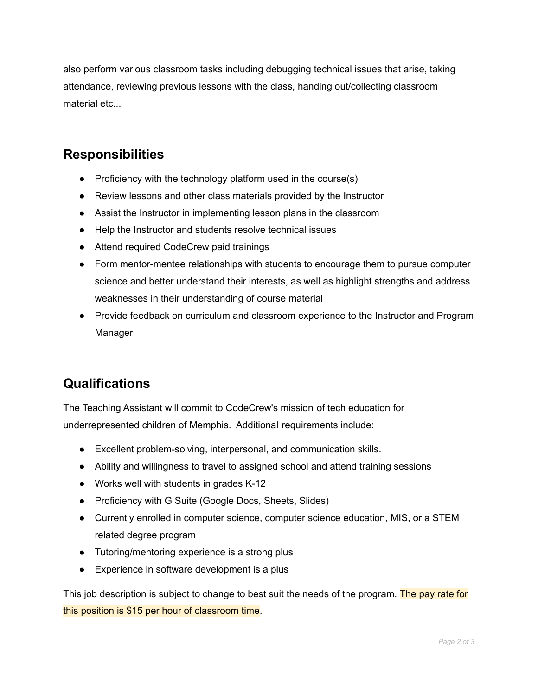also perform various classroom tasks including debugging technical issues that arise, taking attendance, reviewing previous lessons with the class, handing out/collecting classroom material etc...

### **Responsibilities**

- Proficiency with the technology platform used in the course(s)
- Review lessons and other class materials provided by the Instructor
- Assist the Instructor in implementing lesson plans in the classroom
- Help the Instructor and students resolve technical issues
- Attend required CodeCrew paid trainings
- Form mentor-mentee relationships with students to encourage them to pursue computer science and better understand their interests, as well as highlight strengths and address weaknesses in their understanding of course material
- Provide feedback on curriculum and classroom experience to the Instructor and Program Manager

# **Qualifications**

The Teaching Assistant will commit to CodeCrew's mission of tech education for underrepresented children of Memphis. Additional requirements include:

- Excellent problem-solving, interpersonal, and communication skills.
- Ability and willingness to travel to assigned school and attend training sessions
- Works well with students in grades K-12
- Proficiency with G Suite (Google Docs, Sheets, Slides)
- Currently enrolled in computer science, computer science education, MIS, or a STEM related degree program
- Tutoring/mentoring experience is a strong plus
- Experience in software development is a plus

This job description is subject to change to best suit the needs of the program. The pay rate for this position is \$15 per hour of classroom time.